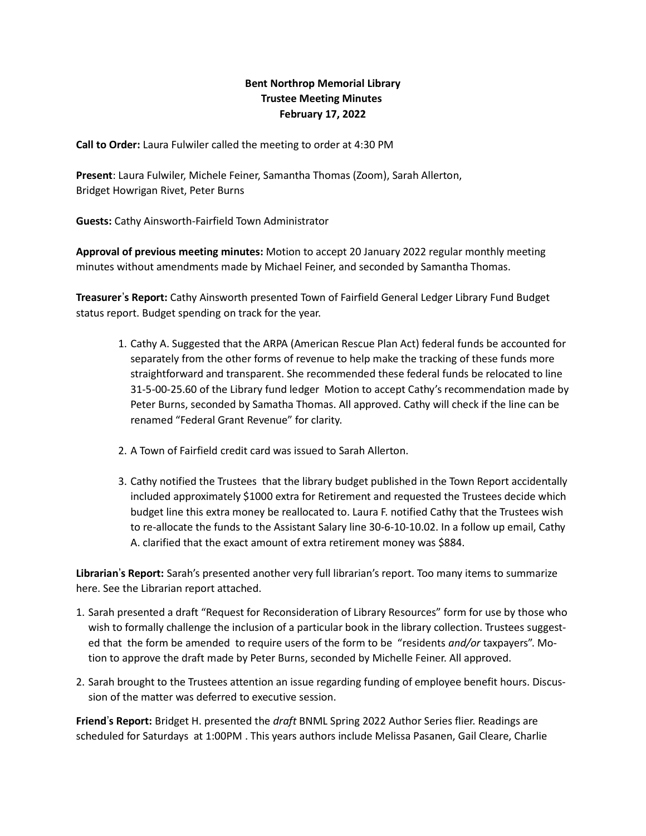# Bent Northrop Memorial Library Trustee Meeting Minutes February 17, 2022

Call to Order: Laura Fulwiler called the meeting to order at 4:30 PM

Present: Laura Fulwiler, Michele Feiner, Samantha Thomas (Zoom), Sarah Allerton, Bridget Howrigan Rivet, Peter Burns

Guests: Cathy Ainsworth-Fairfield Town Administrator

Approval of previous meeting minutes: Motion to accept 20 January 2022 regular monthly meeting minutes without amendments made by Michael Feiner, and seconded by Samantha Thomas.

Treasurer's Report: Cathy Ainsworth presented Town of Fairfield General Ledger Library Fund Budget status report. Budget spending on track for the year.

- 1. Cathy A. Suggested that the ARPA (American Rescue Plan Act) federal funds be accounted for separately from the other forms of revenue to help make the tracking of these funds more straightforward and transparent. She recommended these federal funds be relocated to line 31-5-00-25.60 of the Library fund ledger Motion to accept Cathy's recommendation made by Peter Burns, seconded by Samatha Thomas. All approved. Cathy will check if the line can be renamed "Federal Grant Revenue" for clarity.
- 2. A Town of Fairfield credit card was issued to Sarah Allerton.
- 3. Cathy notified the Trustees that the library budget published in the Town Report accidentally included approximately \$1000 extra for Retirement and requested the Trustees decide which budget line this extra money be reallocated to. Laura F. notified Cathy that the Trustees wish to re-allocate the funds to the Assistant Salary line 30-6-10-10.02. In a follow up email, Cathy A. clarified that the exact amount of extra retirement money was \$884.

Librarian's Report: Sarah's presented another very full librarian's report. Too many items to summarize here. See the Librarian report attached.

- 1. Sarah presented a draft "Request for Reconsideration of Library Resources" form for use by those who wish to formally challenge the inclusion of a particular book in the library collection. Trustees suggested that the form be amended to require users of the form to be "residents and/or taxpayers". Motion to approve the draft made by Peter Burns, seconded by Michelle Feiner. All approved.
- 2. Sarah brought to the Trustees attention an issue regarding funding of employee benefit hours. Discussion of the matter was deferred to executive session.

Friend's Report: Bridget H. presented the *draft* BNML Spring 2022 Author Series flier. Readings are scheduled for Saturdays at 1:00PM . This years authors include Melissa Pasanen, Gail Cleare, Charlie